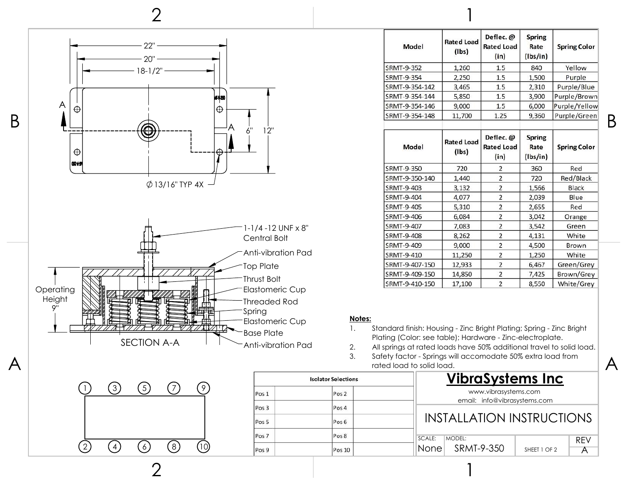

| Model             | <b>Rated Load</b><br>$($ lbs $)$ | Deflec. @<br><b>Rated Load</b><br>(in) | <b>Spring</b><br>Rate<br>(lbs/in) | <b>Spring Color</b> |  |  |
|-------------------|----------------------------------|----------------------------------------|-----------------------------------|---------------------|--|--|
| <b>SRMT-9-352</b> | 1,260                            | 1.5                                    | 840                               | Yellow              |  |  |
| SRMT-9-354        | 2,250                            | 1.5                                    | 1,500                             | Purple              |  |  |
| SRMT-9-354-142    | 3,465                            | 1.5                                    | 2,310                             | Purple/Blue         |  |  |
| SRMT-9-354-144    | 5,850                            | 1.5                                    | 3,900                             | Purple/Brown        |  |  |
| SRMT-9-354-146    | 9,000                            | 1.5                                    | 6,000                             | Purple/Yellow       |  |  |
| SRMT-9-354-148    | 11,700                           | 1.25                                   | 9,360                             | Purple/Green        |  |  |
| Model             | <b>Rated Load</b><br>$($ lbs $)$ | Deflec. @<br><b>Rated Load</b><br>(in) | <b>Spring</b><br>Rate<br>(lbs/in) | <b>Spring Color</b> |  |  |
| <b>SRMT-9-350</b> | 720                              | $\overline{2}$                         | 360                               | Red                 |  |  |
| SRMT-9-350-140    | 1,440                            | $\overline{2}$                         | 720                               | Red/Black           |  |  |
| SRMT-9-403        | 3,132                            | $\overline{\mathbf{c}}$                | 1,566                             | Black               |  |  |
| SRMT-9-404        | 4,077                            | $\overline{2}$                         | 2,039                             | Blue                |  |  |
| SRMT-9-405        | 5,310                            | $\overline{2}$                         | 2,655                             | Red                 |  |  |
| SRMT-9-406        | 6,084                            | $\overline{2}$                         | 3,042                             | Orange              |  |  |
| SRMT-9-407        | 7,083                            | $\overline{2}$                         | 3,542                             | Green               |  |  |
| SRMT-9-408        | 8,262                            | $\overline{\mathbf{c}}$                | 4,131                             | White               |  |  |
| SRMT-9-409        | 9,000                            | $\overline{2}$                         | 4,500                             | Brown               |  |  |
| SRMT-9-410        | 11,250                           | $\overline{c}$                         | 1,250                             | White               |  |  |
| SRMT-9-407-150    | 12,933                           | $\overline{2}$                         | 6,467                             | Green/Grey          |  |  |
| SRMT-9-409-150    | 14,850                           | $\overline{\mathbf{c}}$                | 7,425                             | Brown/Grey          |  |  |
| SRMT-9-410-150    | 17,100                           | $\overline{2}$                         | 8,550                             | White/Grey          |  |  |

## **Notes:**

- 1. Standard finish: Housing Zinc Bright Plating; Spring Zinc Bright Plating (Color: see table); Hardware - Zinc-electroplate.
- 2. All springs at rated loads have 50% additional travel to solid load.<br>3. Safety factor Springs will accomodate 50% extra load from
- 3. Safety factor Springs will accomodate 50% extra load from rated load to solid load.

1

| lections | <b>VibraSystems Inc</b>                              |            |
|----------|------------------------------------------------------|------------|
| 0s2      | www.vibrasystems.com<br>email: info@vibrasystems.com |            |
| os 4     |                                                      |            |
| os 6     | <b>INSTALLATION INSTRUCTIONS</b>                     |            |
| 058      | SCALE:<br>MODEL:                                     | <b>RFV</b> |
| os 10    | None SRMT-9-350<br>SHEET 1 OF 2                      |            |